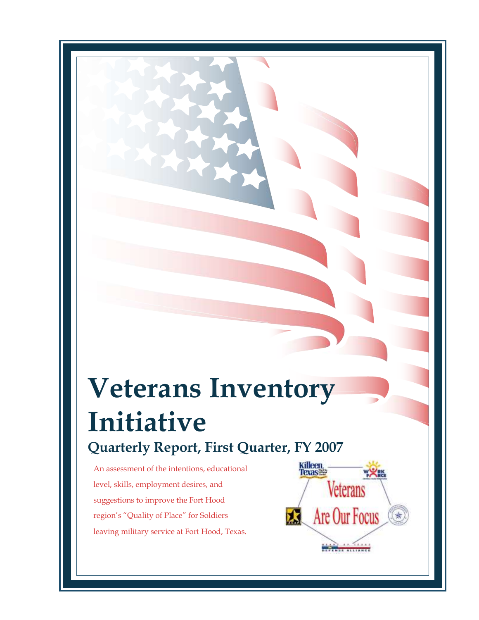# **Veterans Inventory Initiative Quarterly Report, First Quarter, FY 2007**

An assessment of the intentions, educational level, skills, employment desires, and suggestions to improve the Fort Hood region's "Quality of Place" for Soldiers leaving military service at Fort Hood, Texas.

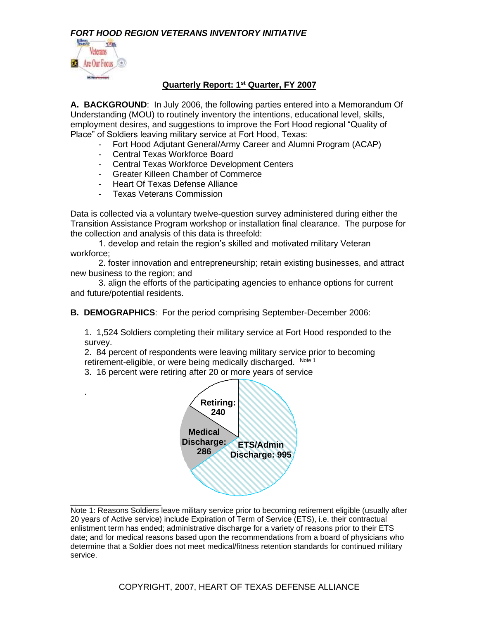## *FORT HOOD REGION VETERANS INVENTORY INITIATIVE*



.

\_\_\_\_\_\_\_\_\_\_\_\_\_\_\_\_\_\_\_

## **Quarterly Report: 1st Quarter, FY 2007**

**A. BACKGROUND**: In July 2006, the following parties entered into a Memorandum Of Understanding (MOU) to routinely inventory the intentions, educational level, skills, employment desires, and suggestions to improve the Fort Hood regional "Quality of Place" of Soldiers leaving military service at Fort Hood, Texas:

- Fort Hood Adjutant General/Army Career and Alumni Program (ACAP)
- Central Texas Workforce Board
- Central Texas Workforce Development Centers
- Greater Killeen Chamber of Commerce
- Heart Of Texas Defense Alliance
- Texas Veterans Commission

Data is collected via a voluntary twelve-question survey administered during either the Transition Assistance Program workshop or installation final clearance. The purpose for the collection and analysis of this data is threefold:

1. develop and retain the region's skilled and motivated military Veteran workforce;

2. foster innovation and entrepreneurship; retain existing businesses, and attract new business to the region; and

3. align the efforts of the participating agencies to enhance options for current and future/potential residents.

**B. DEMOGRAPHICS**: For the period comprising September-December 2006:

1. 1,524 Soldiers completing their military service at Fort Hood responded to the survey.

2. 84 percent of respondents were leaving military service prior to becoming retirement-eligible, or were being medically discharged. Note 1

3. 16 percent were retiring after 20 or more years of service



Note 1: Reasons Soldiers leave military service prior to becoming retirement eligible (usually after 20 years of Active service) include Expiration of Term of Service (ETS), i.e. their contractual enlistment term has ended; administrative discharge for a variety of reasons prior to their ETS date; and for medical reasons based upon the recommendations from a board of physicians who determine that a Soldier does not meet medical/fitness retention standards for continued military service.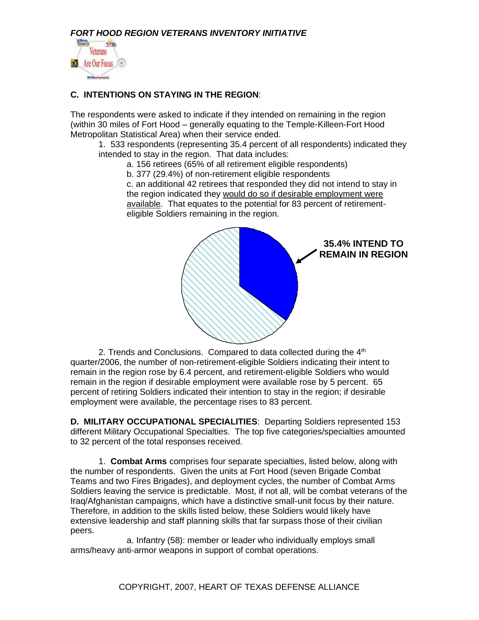

# **C. INTENTIONS ON STAYING IN THE REGION**:

The respondents were asked to indicate if they intended on remaining in the region (within 30 miles of Fort Hood – generally equating to the Temple-Killeen-Fort Hood Metropolitan Statistical Area) when their service ended.

1. 533 respondents (representing 35.4 percent of all respondents) indicated they intended to stay in the region. That data includes:

a. 156 retirees (65% of all retirement eligible respondents)

b. 377 (29.4%) of non-retirement eligible respondents

c. an additional 42 retirees that responded they did not intend to stay in the region indicated they would do so if desirable employment were available. That equates to the potential for 83 percent of retirementeligible Soldiers remaining in the region.



2. Trends and Conclusions. Compared to data collected during the  $4<sup>th</sup>$ quarter/2006, the number of non-retirement-eligible Soldiers indicating their intent to remain in the region rose by 6.4 percent, and retirement-eligible Soldiers who would remain in the region if desirable employment were available rose by 5 percent. 65 percent of retiring Soldiers indicated their intention to stay in the region; if desirable employment were available, the percentage rises to 83 percent.

**D. MILITARY OCCUPATIONAL SPECIALITIES**: Departing Soldiers represented 153 different Military Occupational Specialties. The top five categories/specialties amounted to 32 percent of the total responses received.

1. **Combat Arms** comprises four separate specialties, listed below, along with the number of respondents. Given the units at Fort Hood (seven Brigade Combat Teams and two Fires Brigades), and deployment cycles, the number of Combat Arms Soldiers leaving the service is predictable. Most, if not all, will be combat veterans of the Iraq/Afghanistan campaigns, which have a distinctive small-unit focus by their nature. Therefore, in addition to the skills listed below, these Soldiers would likely have extensive leadership and staff planning skills that far surpass those of their civilian peers.

a. Infantry (58): member or leader who individually employs small arms/heavy anti-armor weapons in support of combat operations.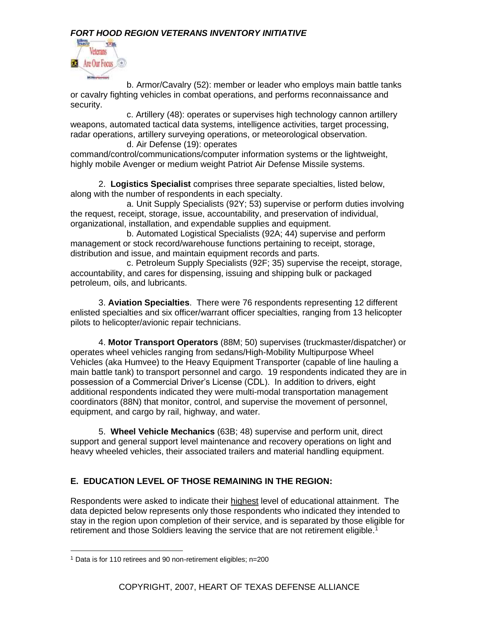# *FORT HOOD REGION VETERANS INVENTORY INITIATIVE*



b. Armor/Cavalry (52): member or leader who employs main battle tanks or cavalry fighting vehicles in combat operations, and performs reconnaissance and security.

c. Artillery (48): operates or supervises high technology cannon artillery weapons, automated tactical data systems, intelligence activities, target processing, radar operations, artillery surveying operations, or meteorological observation. d. Air Defense (19): operates

command/control/communications/computer information systems or the lightweight, highly mobile Avenger or medium weight Patriot Air Defense Missile systems.

2. **Logistics Specialist** comprises three separate specialties, listed below, along with the number of respondents in each specialty.

a. Unit Supply Specialists (92Y; 53) supervise or perform duties involving the request, receipt, storage, issue, accountability, and preservation of individual, organizational, installation, and expendable supplies and equipment.

b. Automated Logistical Specialists (92A; 44) supervise and perform management or stock record/warehouse functions pertaining to receipt, storage, distribution and issue, and maintain equipment records and parts.

c. Petroleum Supply Specialists (92F; 35) supervise the receipt, storage, accountability, and cares for dispensing, issuing and shipping bulk or packaged petroleum, oils, and lubricants.

3. **Aviation Specialties**. There were 76 respondents representing 12 different enlisted specialties and six officer/warrant officer specialties, ranging from 13 helicopter pilots to helicopter/avionic repair technicians.

4. **Motor Transport Operators** (88M; 50) supervises (truckmaster/dispatcher) or operates wheel vehicles ranging from sedans/High-Mobility Multipurpose Wheel Vehicles (aka Humvee) to the Heavy Equipment Transporter (capable of line hauling a main battle tank) to transport personnel and cargo. 19 respondents indicated they are in possession of a Commercial Driver's License (CDL). In addition to drivers, eight additional respondents indicated they were multi-modal transportation management coordinators (88N) that monitor, control, and supervise the movement of personnel, equipment, and cargo by rail, highway, and water.

5. **Wheel Vehicle Mechanics** (63B; 48) supervise and perform unit, direct support and general support level maintenance and recovery operations on light and heavy wheeled vehicles, their associated trailers and material handling equipment.

# **E. EDUCATION LEVEL OF THOSE REMAINING IN THE REGION:**

Respondents were asked to indicate their highest level of educational attainment. The data depicted below represents only those respondents who indicated they intended to stay in the region upon completion of their service, and is separated by those eligible for retirement and those Soldiers leaving the service that are not retirement eligible.<sup>1</sup>

<sup>1</sup> Data is for 110 retirees and 90 non-retirement eligibles; n=200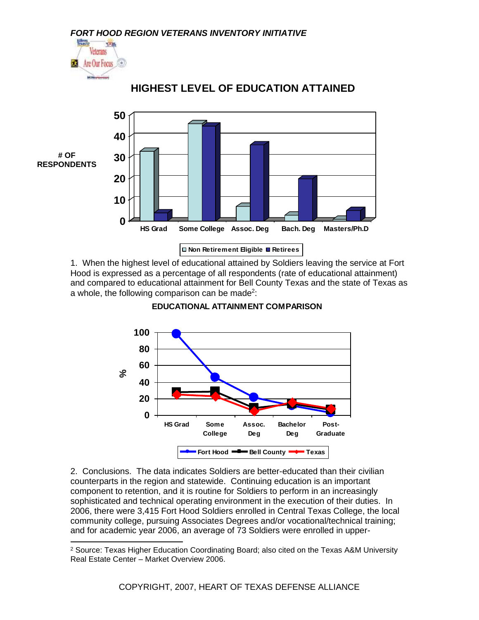*FORT HOOD REGION VETERANS INVENTORY INITIATIVE* **WEL** elerans Are Our Focus БG. 氏变元



# **HIGHEST LEVEL OF EDUCATION ATTAINED**

1. When the highest level of educational attained by Soldiers leaving the service at Fort Hood is expressed as a percentage of all respondents (rate of educational attainment) and compared to educational attainment for Bell County Texas and the state of Texas as a whole, the following comparison can be made<sup>2</sup>:





2. Conclusions. The data indicates Soldiers are better-educated than their civilian counterparts in the region and statewide. Continuing education is an important component to retention, and it is routine for Soldiers to perform in an increasingly sophisticated and technical operating environment in the execution of their duties. In 2006, there were 3,415 Fort Hood Soldiers enrolled in Central Texas College, the local community college, pursuing Associates Degrees and/or vocational/technical training; and for academic year 2006, an average of 73 Soldiers were enrolled in upper-

<sup>2</sup> Source: Texas Higher Education Coordinating Board; also cited on the Texas A&M University Real Estate Center – Market Overview 2006.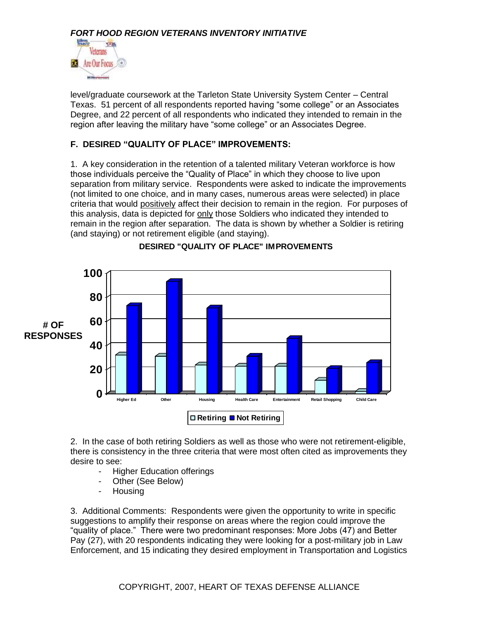



level/graduate coursework at the Tarleton State University System Center – Central Texas. 51 percent of all respondents reported having "some college" or an Associates Degree, and 22 percent of all respondents who indicated they intended to remain in the region after leaving the military have "some college" or an Associates Degree.

## **F. DESIRED "QUALITY OF PLACE" IMPROVEMENTS:**

1. A key consideration in the retention of a talented military Veteran workforce is how those individuals perceive the "Quality of Place" in which they choose to live upon separation from military service. Respondents were asked to indicate the improvements (not limited to one choice, and in many cases, numerous areas were selected) in place criteria that would positively affect their decision to remain in the region. For purposes of this analysis, data is depicted for only those Soldiers who indicated they intended to remain in the region after separation. The data is shown by whether a Soldier is retiring (and staying) or not retirement eligible (and staying).



#### **DESIRED "QUALITY OF PLACE" IMPROVEMENTS**

2. In the case of both retiring Soldiers as well as those who were not retirement-eligible, there is consistency in the three criteria that were most often cited as improvements they desire to see:

- Higher Education offerings
- Other (See Below)
- Housing

3. Additional Comments: Respondents were given the opportunity to write in specific suggestions to amplify their response on areas where the region could improve the "quality of place." There were two predominant responses: More Jobs (47) and Better Pay (27), with 20 respondents indicating they were looking for a post-military job in Law Enforcement, and 15 indicating they desired employment in Transportation and Logistics